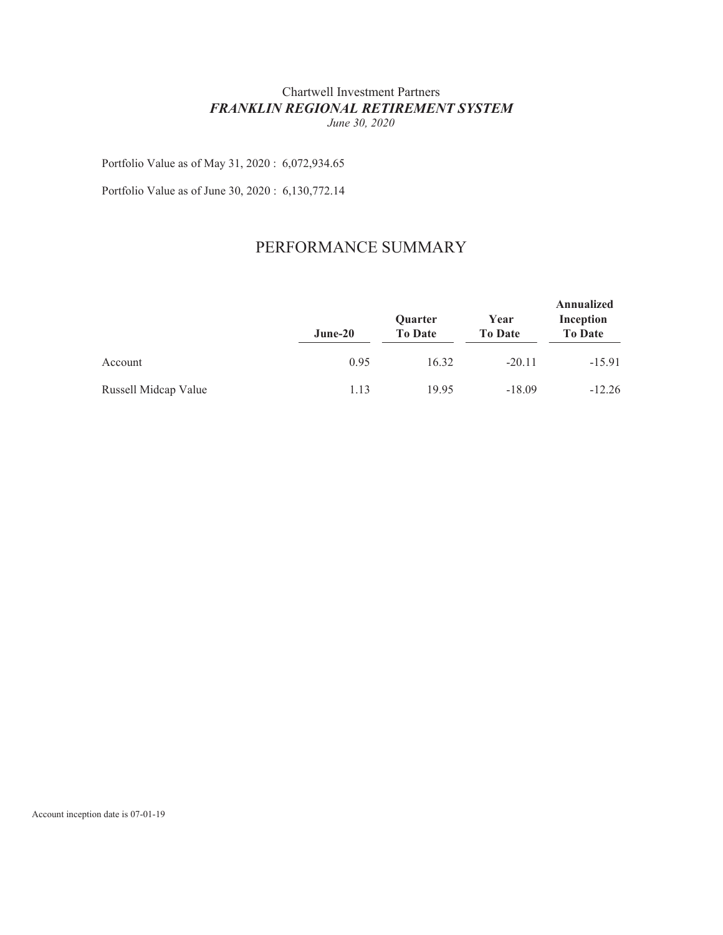## Chartwell Investment Partners *FRANKLIN REGIONAL RETIREMENT SYSTEM June 30, 2020*

Portfolio Value as of May 31, 2020 : 6,072,934.65

Portfolio Value as of June 30, 2020 : 6,130,772.14

## PERFORMANCE SUMMARY

|                      | June-20 | Quarter<br><b>To Date</b> | Year<br><b>To Date</b> | Annualized<br>Inception<br><b>To Date</b> |  |
|----------------------|---------|---------------------------|------------------------|-------------------------------------------|--|
| Account              | 0.95    | 16.32                     | $-20.11$               | $-15.91$                                  |  |
| Russell Midcap Value | 1.13    | 19.95                     | $-18.09$               | $-12.26$                                  |  |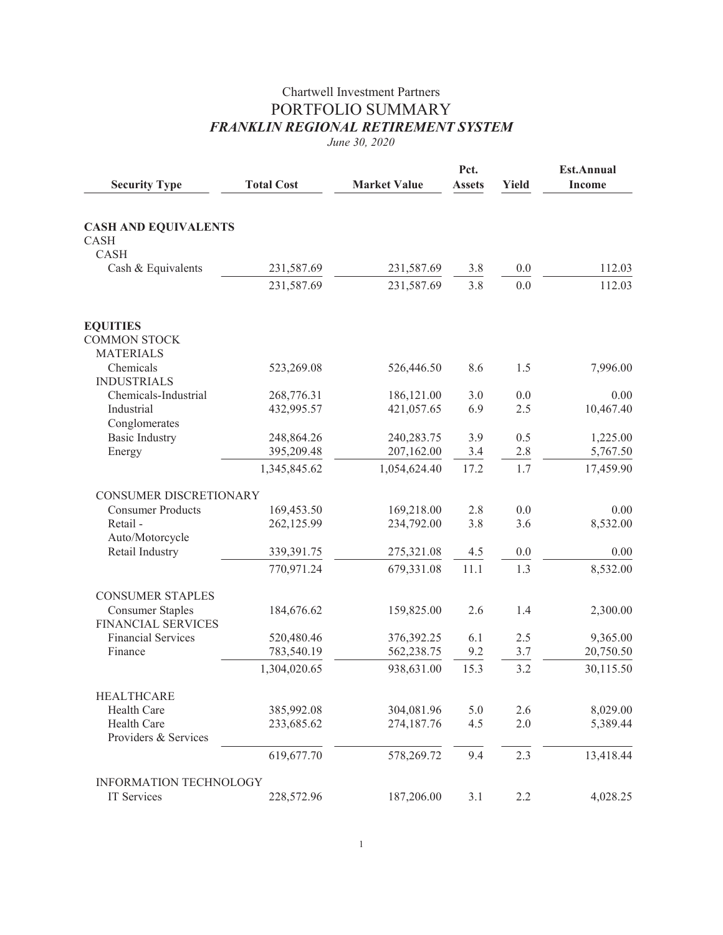## Chartwell Investment Partners PORTFOLIO SUMMARY *FRANKLIN REGIONAL RETIREMENT SYSTEM*

*June 30, 2020*

| <b>Security Type</b>                                       | <b>Total Cost</b> | <b>Market Value</b> | Pct.<br><b>Assets</b> | <b>Yield</b> | <b>Est.Annual</b><br><b>Income</b> |
|------------------------------------------------------------|-------------------|---------------------|-----------------------|--------------|------------------------------------|
|                                                            |                   |                     |                       |              |                                    |
| <b>CASH AND EQUIVALENTS</b><br><b>CASH</b><br>CASH         |                   |                     |                       |              |                                    |
| Cash & Equivalents                                         | 231,587.69        | 231,587.69          | 3.8                   | 0.0          | 112.03                             |
|                                                            | 231,587.69        | 231,587.69          | 3.8                   | 0.0          | 112.03                             |
| <b>EQUITIES</b><br><b>COMMON STOCK</b><br><b>MATERIALS</b> |                   |                     |                       |              |                                    |
| Chemicals<br><b>INDUSTRIALS</b>                            | 523,269.08        | 526,446.50          | 8.6                   | 1.5          | 7,996.00                           |
| Chemicals-Industrial                                       | 268,776.31        | 186,121.00          | 3.0                   | 0.0          | 0.00                               |
| Industrial<br>Conglomerates                                | 432,995.57        | 421,057.65          | 6.9                   | 2.5          | 10,467.40                          |
| <b>Basic Industry</b>                                      | 248,864.26        | 240,283.75          | 3.9                   | 0.5          | 1,225.00                           |
| Energy                                                     | 395,209.48        | 207,162.00          | 3.4                   | 2.8          | 5,767.50                           |
|                                                            | 1,345,845.62      | 1,054,624.40        | 17.2                  | 1.7          | 17,459.90                          |
| CONSUMER DISCRETIONARY                                     |                   |                     |                       |              |                                    |
| <b>Consumer Products</b>                                   | 169,453.50        | 169,218.00          | 2.8                   | 0.0          | 0.00                               |
| Retail-<br>Auto/Motorcycle                                 | 262,125.99        | 234,792.00          | 3.8                   | 3.6          | 8,532.00                           |
| Retail Industry                                            | 339,391.75        | 275,321.08          | 4.5                   | 0.0          | 0.00                               |
|                                                            | 770,971.24        | 679,331.08          | 11.1                  | 1.3          | 8,532.00                           |
| <b>CONSUMER STAPLES</b>                                    |                   |                     |                       |              |                                    |
| <b>Consumer Staples</b><br><b>FINANCIAL SERVICES</b>       | 184,676.62        | 159,825.00          | 2.6                   | 1.4          | 2,300.00                           |
| <b>Financial Services</b>                                  | 520,480.46        | 376,392.25          | 6.1                   | 2.5          | 9,365.00                           |
| Finance                                                    | 783,540.19        | 562,238.75          | 9.2                   | 3.7          | 20,750.50                          |
|                                                            | 1,304,020.65      | 938,631.00          | 15.3                  | 3.2          | 30,115.50                          |
| <b>HEALTHCARE</b>                                          |                   |                     |                       |              |                                    |
| Health Care                                                | 385,992.08        | 304,081.96          | 5.0                   | 2.6          | 8,029.00                           |
| Health Care<br>Providers & Services                        | 233,685.62        | 274,187.76          | 4.5                   | 2.0          | 5,389.44                           |
|                                                            | 619,677.70        | 578,269.72          | 9.4                   | 2.3          | 13,418.44                          |
| <b>INFORMATION TECHNOLOGY</b>                              |                   |                     |                       |              |                                    |
| IT Services                                                | 228,572.96        | 187,206.00          | 3.1                   | 2.2          | 4,028.25                           |